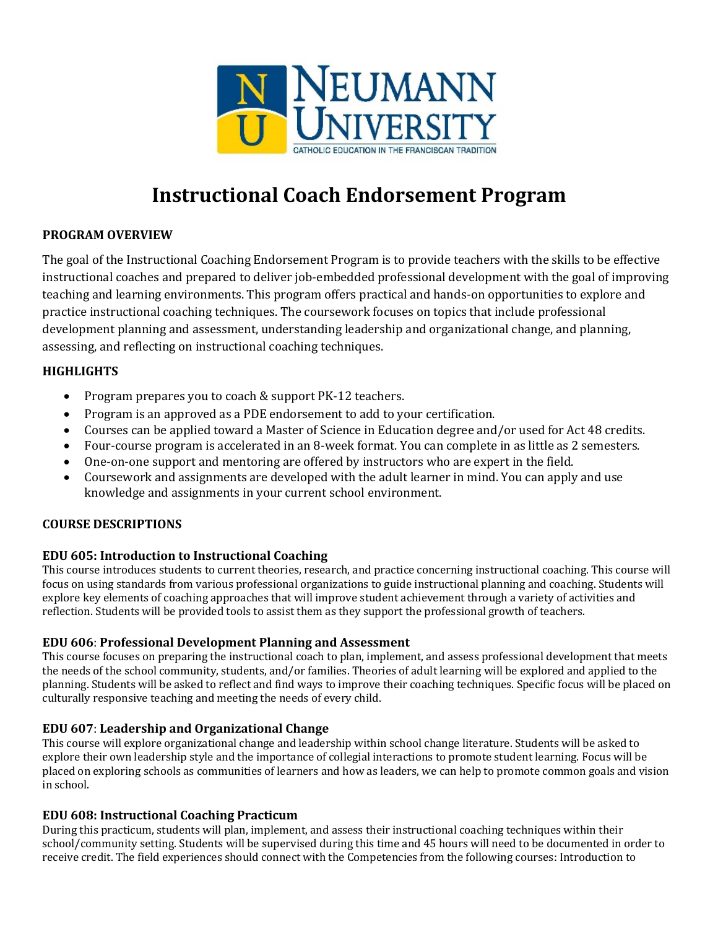

# **Instructional Coach Endorsement Program**

## **PROGRAM OVERVIEW**

The goal of the Instructional Coaching Endorsement Program is to provide teachers with the skills to be effective instructional coaches and prepared to deliver job-embedded professional development with the goal of improving teaching and learning environments. This program offers practical and hands-on opportunities to explore and practice instructional coaching techniques. The coursework focuses on topics that include professional development planning and assessment, understanding leadership and organizational change, and planning, assessing, and reflecting on instructional coaching techniques.

### **HIGHLIGHTS**

- Program prepares you to coach & support PK-12 teachers.
- Program is an approved as a PDE endorsement to add to your certification.
- Courses can be applied toward a Master of Science in Education degree and/or used for Act 48 credits.
- Four-course program is accelerated in an 8-week format. You can complete in as little as 2 semesters.
- One-on-one support and mentoring are offered by instructors who are expert in the field.
- Coursework and assignments are developed with the adult learner in mind. You can apply and use knowledge and assignments in your current school environment.

### **COURSE DESCRIPTIONS**

### **EDU 605: Introduction to Instructional Coaching**

This course introduces students to current theories, research, and practice concerning instructional coaching. This course will focus on using standards from various professional organizations to guide instructional planning and coaching. Students will explore key elements of coaching approaches that will improve student achievement through a variety of activities and reflection. Students will be provided tools to assist them as they support the professional growth of teachers.

### **EDU 606**: **Professional Development Planning and Assessment**

This course focuses on preparing the instructional coach to plan, implement, and assess professional development that meets the needs of the school community, students, and/or families. Theories of adult learning will be explored and applied to the planning. Students will be asked to reflect and find ways to improve their coaching techniques. Specific focus will be placed on culturally responsive teaching and meeting the needs of every child.

### **EDU 607**: **Leadership and Organizational Change**

This course will explore organizational change and leadership within school change literature. Students will be asked to explore their own leadership style and the importance of collegial interactions to promote student learning. Focus will be placed on exploring schools as communities of learners and how as leaders, we can help to promote common goals and vision in school.

### **EDU 608: Instructional Coaching Practicum**

During this practicum, students will plan, implement, and assess their instructional coaching techniques within their school/community setting. Students will be supervised during this time and 45 hours will need to be documented in order to receive credit. The field experiences should connect with the Competencies from the following courses: Introduction to